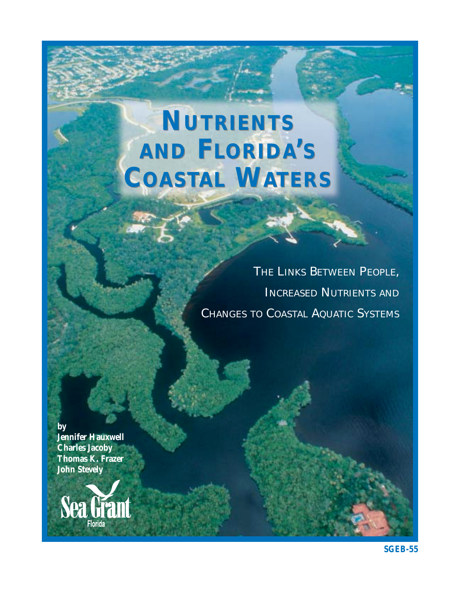# **NUTRIENTS NUTRIENTS AND FLORIDA'S AND FLORIDA'S COASTAL WATERS COASTAL WATERS**

*THE LINKS BETWEEN PEOPLE, INCREASED NUTRIENTS AND CHANGES TO COASTAL AQUATIC SYSTEMS*

**by Jennifer Hauxwell Charles Jacoby Thomas K. Frazer John Stevely**

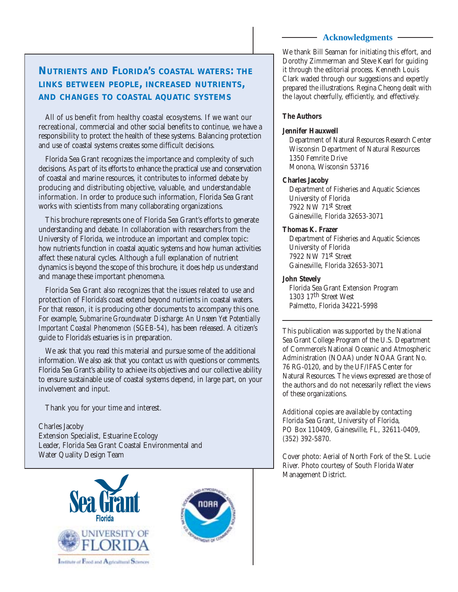### **Acknowledgments**

# **NUTRIENTS AND FLORIDA'S COASTAL WATERS: THE LINKS BETWEEN PEOPLE, INCREASED NUTRIENTS, AND CHANGES TO COASTAL AQUATIC SYSTEMS**

All of us benefit from healthy coastal ecosystems. If we want our recreational, commercial and other social benefits to continue, we have a responsibility to protect the health of these systems. Balancing protection and use of coastal systems creates some difficult decisions.

Florida Sea Grant recognizes the importance and complexity of such decisions. As part of its efforts to enhance the practical use and conservation of coastal and marine resources, it contributes to informed debate by producing and distributing objective, valuable, and understandable information. In order to produce such information, Florida Sea Grant works with scientists from many collaborating organizations.

This brochure represents one of Florida Sea Grant's efforts to generate understanding and debate. In collaboration with researchers from the University of Florida, we introduce an important and complex topic: how nutrients function in coastal aquatic systems and how human activities affect these natural cycles. Although a full explanation of nutrient dynamics is beyond the scope of this brochure, it does help us understand and manage these important phenomena.

Florida Sea Grant also recognizes that the issues related to use and protection of Florida's coast extend beyond nutrients in coastal waters. For that reason, it is producing other documents to accompany this one. For example, *Submarine Groundwater Discharge: An Unseen Yet Potentially Important Coastal Phenomenon (SGEB-54)*, has been released. A citizen's guide to Florida's estuaries is in preparation.

We ask that you read this material and pursue some of the additional information. We also ask that you contact us with questions or comments. Florida Sea Grant's ability to achieve its objectives and our collective ability to ensure sustainable use of coastal systems depend, in large part, on your involvement and input.

Thank you for your time and interest.

Charles Jacoby Extension Specialist, Estuarine Ecology Leader, Florida Sea Grant Coastal Environmental and Water Quality Design Team





We thank Bill Seaman for initiating this effort, and Dorothy Zimmerman and Steve Kearl for guiding it through the editorial process. Kenneth Louis Clark waded through our suggestions and expertly prepared the illustrations. Regina Cheong dealt with the layout cheerfully, efficiently, and effectively.

## **The Authors**

### **Jennifer Hauxwell**

Department of Natural Resources Research Center Wisconsin Department of Natural Resources 1350 Femrite Drive Monona, Wisconsin 53716

## **Charles Jacoby**

Department of Fisheries and Aquatic Sciences University of Florida 7922 NW 71st Street Gainesville, Florida 32653-3071

## **Thomas K. Frazer**

Department of Fisheries and Aquatic Sciences University of Florida 7922 NW 71st Street Gainesville, Florida 32653-3071

## **John Stevely**

Florida Sea Grant Extension Program 1303 17th Street West Palmetto, Florida 34221-5998

This publication was supported by the National Sea Grant College Program of the U.S. Department of Commerce's National Oceanic and Atmospheric Administration (NOAA) under NOAA Grant No. 76 RG-0120, and by the UF/IFAS Center for Natural Resources. The views expressed are those of the authors and do not necessarily reflect the views of these organizations.

Additional copies are available by contacting Florida Sea Grant, University of Florida, PO Box 110409, Gainesville, FL, 32611-0409, (352) 392-5870.

Cover photo: Aerial of North Fork of the St. Lucie River. Photo courtesy of South Florida Water Management District.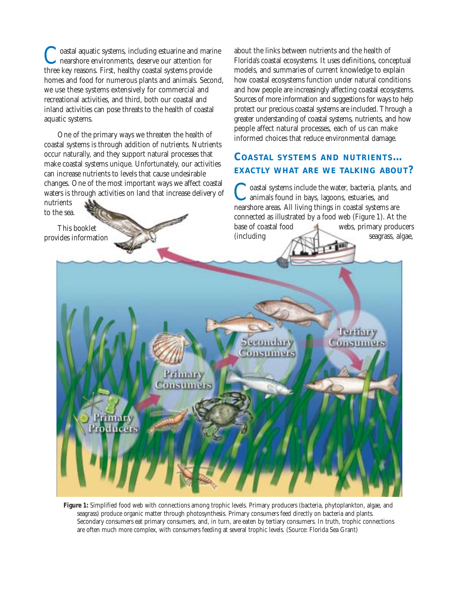oastal aquatic systems, including estuarine and marine nearshore environments, deserve our attention for three key reasons. First, healthy coastal systems provide homes and food for numerous plants and animals. Second, we use these systems extensively for commercial and recreational activities, and third, both our coastal and inland activities can pose threats to the health of coastal aquatic systems.

One of the primary ways we threaten the health of coastal systems is through addition of nutrients. Nutrients occur naturally, and they support natural processes that make coastal systems unique. Unfortunately, our activities can increase nutrients to levels that cause undesirable changes. One of the most important ways we affect coastal waters is through activities on land that increase delivery of

nutrients to the sea.

This booklet provides information about the links between nutrients and the health of Florida's coastal ecosystems. It uses definitions, conceptual models, and summaries of current knowledge to explain how coastal ecosystems function under natural conditions and how people are increasingly affecting coastal ecosystems. Sources of more information and suggestions for ways to help protect our precious coastal systems are included. Through a greater understanding of coastal systems, nutrients, and how people affect natural processes, each of us can make informed choices that reduce environmental damage.

# **COASTAL SYSTEMS AND NUTRIENTS… EXACTLY WHAT ARE WE TALKING ABOUT?**

Coastal systems include the water, bacteria, plants, and animals found in bays, lagoons, estuaries, and nearshore areas. All living things in coastal systems are connected as illustrated by a food web (Figure 1). At the base of coastal food webs, primary producers (including seagrass, algae,



**Figure 1:** Simplified food web with connections among trophic levels. Primary producers (bacteria, phytoplankton, algae, and seagrass) produce organic matter through photosynthesis. Primary consumers feed directly on bacteria and plants. Secondary consumers eat primary consumers, and, in turn, are eaten by tertiary consumers. In truth, trophic connections are often much more complex, with consumers feeding at several trophic levels. (Source: Florida Sea Grant)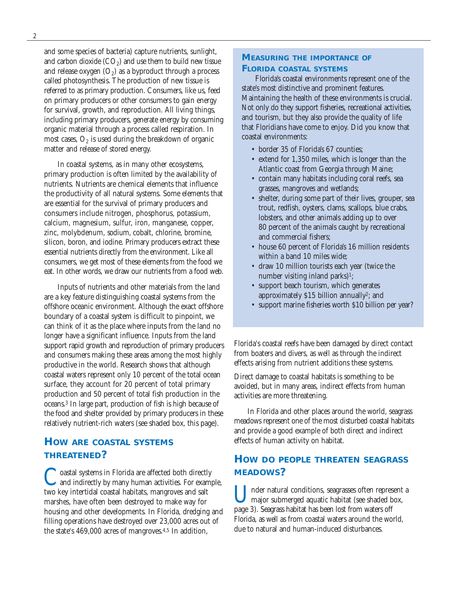and some species of bacteria) capture nutrients, sunlight, and carbon dioxide  $(CO<sub>2</sub>)$  and use them to build new tissue and release oxygen  $(O_2)$  as a byproduct through a process called photosynthesis. The production of new tissue is referred to as primary production. Consumers, like us, feed on primary producers or other consumers to gain energy for survival, growth, and reproduction. All living things, including primary producers, generate energy by consuming organic material through a process called respiration. In most cases,  $O_2$  is used during the breakdown of organic matter and release of stored energy.

In coastal systems, as in many other ecosystems, primary production is often limited by the availability of nutrients. Nutrients are chemical elements that influence the productivity of all natural systems. Some elements that are essential for the survival of primary producers and consumers include nitrogen, phosphorus, potassium, calcium, magnesium, sulfur, iron, manganese, copper, zinc, molybdenum, sodium, cobalt, chlorine, bromine, silicon, boron, and iodine. Primary producers extract these essential nutrients directly from the environment. Like all consumers, we get most of these elements from the food we eat. In other words, we draw our nutrients from a food web.

Inputs of nutrients and other materials from the land are a key feature distinguishing coastal systems from the offshore oceanic environment. Although the exact offshore boundary of a coastal system is difficult to pinpoint, we can think of it as the place where inputs from the land no longer have a significant influence. Inputs from the land support rapid growth and reproduction of primary producers and consumers making these areas among the most highly productive in the world. Research shows that although coastal waters represent only 10 percent of the total ocean surface, they account for 20 percent of total primary production and 50 percent of total fish production in the oceans.3 In large part, production of fish is high because of the food and shelter provided by primary producers in these relatively nutrient-rich waters (see shaded box, this page).

# **HOW ARE COASTAL SYSTEMS THREATENED?**

Coastal systems in Florida are affected both directly and indirectly by many human activities. For example, two key intertidal coastal habitats, mangroves and salt marshes, have often been destroyed to make way for housing and other developments. In Florida, dredging and filling operations have destroyed over 23,000 acres out of the state's 469,000 acres of mangroves.4,5 In addition,

## **MEASURING THE IMPORTANCE OF FLORIDA COASTAL SYSTEMS**

Florida's coastal environments represent one of the state's most distinctive and prominent features. Maintaining the health of these environments is crucial. Not only do they support fisheries, recreational activities, and tourism, but they also provide the quality of life that Floridians have come to enjoy. Did you know that coastal environments:

- border 35 of Florida's 67 counties;
- extend for 1,350 miles, which is longer than the Atlantic coast from Georgia through Maine;
- contain many habitats including coral reefs, sea grasses, mangroves and wetlands;
- shelter, during some part of their lives, grouper, sea trout, redfish, oysters, clams, scallops, blue crabs, lobsters, and other animals adding up to over 80 percent of the animals caught by recreational and commercial fishers;
- house 60 percent of Florida's 16 million residents within a band 10 miles wide;
- draw 10 million tourists each year (twice the number visiting inland parks)<sup>1</sup>;
- support beach tourism, which generates approximately \$15 billion annually2; and
- support marine fisheries worth \$10 billion per year?

Florida's coastal reefs have been damaged by direct contact from boaters and divers, as well as through the indirect effects arising from nutrient additions these systems.

Direct damage to coastal habitats is something to be avoided, but in many areas, indirect effects from human activities are more threatening.

In Florida and other places around the world, seagrass meadows represent one of the most disturbed coastal habitats and provide a good example of both direct and indirect effects of human activity on habitat.

# **HOW DO PEOPLE THREATEN SEAGRASS MEADOWS?**

nder natural conditions, seagrasses often represent a major submerged aquatic habitat (see shaded box, page 3). Seagrass habitat has been lost from waters off Florida, as well as from coastal waters around the world, due to natural and human-induced disturbances.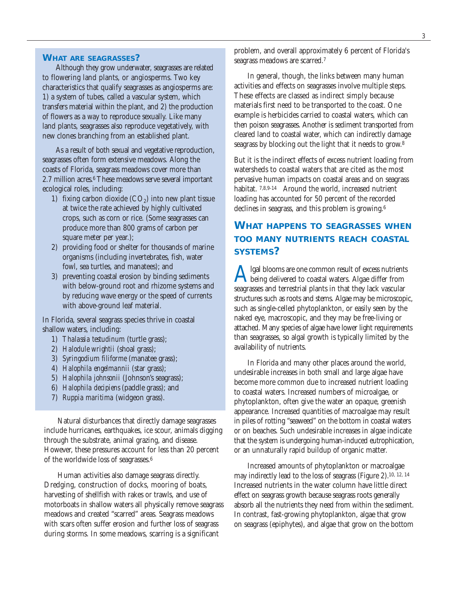#### **WHAT ARE SEAGRASSES?**

Although they grow underwater, seagrasses are related to flowering land plants, or angiosperms. Two key characteristics that qualify seagrasses as angiosperms are: 1) a system of tubes, called a vascular system, which transfers material within the plant, and 2) the production of flowers as a way to reproduce sexually. Like many land plants, seagrasses also reproduce vegetatively, with new clones branching from an established plant.

As a result of both sexual and vegetative reproduction, seagrasses often form extensive meadows. Along the coasts of Florida, seagrass meadows cover more than 2.7 million acres.6 These meadows serve several important ecological roles, including:

- 1) fixing carbon dioxide  $(CO<sub>2</sub>)$  into new plant tissue at twice the rate achieved by highly cultivated crops, such as corn or rice. (Some seagrasses can produce more than 800 grams of carbon per square meter per year.);
- 2) providing food or shelter for thousands of marine organisms (including invertebrates, fish, water fowl, sea turtles, and manatees); and
- 3) preventing coastal erosion by binding sediments with below-ground root and rhizome systems and by reducing wave energy or the speed of currents with above-ground leaf material.

In Florida, several seagrass species thrive in coastal shallow waters, including:

- 1) *Thalassia testudinum* (turtle grass);
- 2) *Halodule wrightii* (shoal grass);
- 3) *Syringodium filiforme* (manatee grass);
- 4) *Halophila engelmannii* (star grass);
- 5) *Halophila johnsonii* (Johnson's seagrass);
- 6) *Halophila decipiens* (paddle grass); and
- 7) *Ruppia maritima* (widgeon grass).

Natural disturbances that directly damage seagrasses include hurricanes, earthquakes, ice scour, animals digging through the substrate, animal grazing, and disease. However, these pressures account for less than 20 percent of the worldwide loss of seagrasses.6

Human activities also damage seagrass directly. Dredging, construction of docks, mooring of boats, harvesting of shellfish with rakes or trawls, and use of motorboats in shallow waters all physically remove seagrass meadows and created "scarred" areas. Seagrass meadows with scars often suffer erosion and further loss of seagrass during storms. In some meadows, scarring is a significant

problem, and overall approximately 6 percent of Florida's seagrass meadows are scarred.7

In general, though, the links between many human activities and effects on seagrasses involve multiple steps. These effects are classed as indirect simply because materials first need to be transported to the coast. One example is herbicides carried to coastal waters, which can then poison seagrasses. Another is sediment transported from cleared land to coastal water, which can indirectly damage seagrass by blocking out the light that it needs to grow.8

But it is the indirect effects of excess nutrient loading from watersheds to coastal waters that are cited as the most pervasive human impacts on coastal areas and on seagrass habitat. 7,8,9-14 Around the world, increased nutrient loading has accounted for 50 percent of the recorded declines in seagrass, and this problem is growing.6

# **WHAT HAPPENS TO SEAGRASSES WHEN TOO MANY NUTRIENTS REACH COASTAL SYSTEMS?**

A lgal blooms are one common result of excess nutrients<br>being delivered to coastal waters. Algae differ from seagrasses and terrestrial plants in that they lack vascular structures such as roots and stems. Algae may be microscopic, such as single-celled phytoplankton, or easily seen by the naked eye, macroscopic, and they may be free-living or attached. Many species of algae have lower light requirements than seagrasses, so algal growth is typically limited by the availability of nutrients.

In Florida and many other places around the world, undesirable increases in both small and large algae have become more common due to increased nutrient loading to coastal waters. Increased numbers of microalgae, or phytoplankton, often give the water an opaque, greenish appearance. Increased quantities of macroalgae may result in piles of rotting "seaweed" on the bottom in coastal waters or on beaches. Such undesirable increases in algae indicate that the system is undergoing human-induced eutrophication, or an unnaturally rapid buildup of organic matter.

Increased amounts of phytoplankton or macroalgae may indirectly lead to the loss of seagrass (Figure 2).10, 12, 14 Increased nutrients in the water column have little direct effect on seagrass growth because seagrass roots generally absorb all the nutrients they need from within the sediment. In contrast, fast-growing phytoplankton, algae that grow on seagrass (epiphytes), and algae that grow on the bottom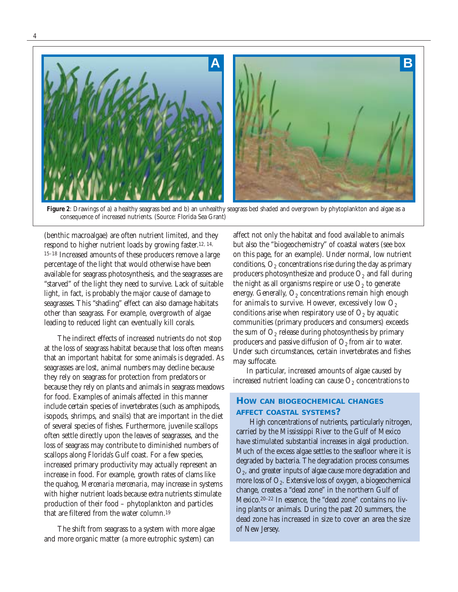

Figure 2: Drawings of a) a healthy seagrass bed and b) an unhealthy seagrass bed shaded and overgrown by phytoplankton and algae as a consequence of increased nutrients. (Source: Florida Sea Grant)

(benthic macroalgae) are often nutrient limited, and they respond to higher nutrient loads by growing faster.12, 14, 15–18 Increased amounts of these producers remove a large percentage of the light that would otherwise have been available for seagrass photosynthesis, and the seagrasses are "starved" of the light they need to survive. Lack of suitable light, in fact, is probably the major cause of damage to seagrasses. This "shading" effect can also damage habitats other than seagrass. For example, overgrowth of algae leading to reduced light can eventually kill corals.

The indirect effects of increased nutrients do not stop at the loss of seagrass habitat because that loss often means that an important habitat for some animals is degraded. As seagrasses are lost, animal numbers may decline because they rely on seagrass for protection from predators or because they rely on plants and animals in seagrass meadows for food. Examples of animals affected in this manner include certain species of invertebrates (such as amphipods, isopods, shrimps, and snails) that are important in the diet of several species of fishes. Furthermore, juvenile scallops often settle directly upon the leaves of seagrasses, and the loss of seagrass may contribute to diminished numbers of scallops along Florida's Gulf coast. For a few species, increased primary productivity may actually represent an increase in food. For example, growth rates of clams like the quahog, *Mercenaria mercenaria*, may increase in systems with higher nutrient loads because extra nutrients stimulate production of their food – phytoplankton and particles that are filtered from the water column.19

The shift from seagrass to a system with more algae and more organic matter (a more eutrophic system) can

affect not only the habitat and food available to animals but also the "biogeochemistry" of coastal waters (see box on this page, for an example). Under normal, low nutrient conditions,  $O_2$  concentrations rise during the day as primary producers photosynthesize and produce  $O_2$  and fall during the night as all organisms respire or use  $O_2$  to generate energy. Generally,  $O<sub>2</sub>$  concentrations remain high enough for animals to survive. However, excessively low  $O_2$ conditions arise when respiratory use of  $O<sub>2</sub>$  by aquatic communities (primary producers and consumers) exceeds the sum of  $O_2$  release during photosynthesis by primary producers and passive diffusion of  $O_2$  from air to water. Under such circumstances, certain invertebrates and fishes may suffocate.

In particular, increased amounts of algae caused by increased nutrient loading can cause  $O_2$  concentrations to

## **HOW CAN BIOGEOCHEMICAL CHANGES AFFECT COASTAL SYSTEMS?**

High concentrations of nutrients, particularly nitrogen, carried by the Mississippi River to the Gulf of Mexico have stimulated substantial increases in algal production. Much of the excess algae settles to the seafloor where it is degraded by bacteria. The degradation process consumes O2, and greater inputs of algae cause more degradation and more loss of  $O_2$ . Extensive loss of oxygen, a biogeochemical change, creates a "dead zone" in the northern Gulf of Mexico.20–22 In essence, the "dead zone" contains no living plants or animals. During the past 20 summers, the dead zone has increased in size to cover an area the size of New Jersey.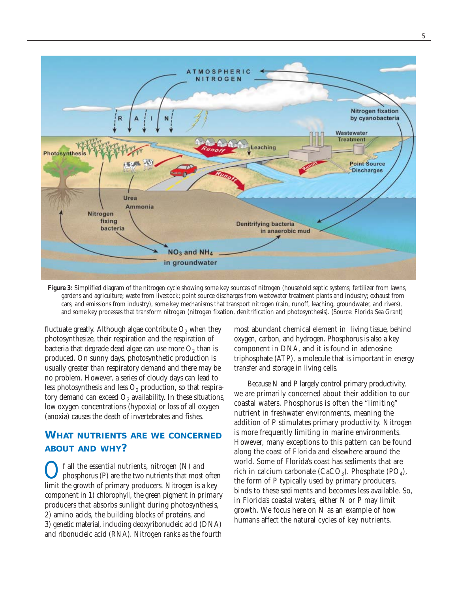

**Figure 3:** Simplified diagram of the nitrogen cycle showing some key sources of nitrogen (household septic systems; fertilizer from lawns, gardens and agriculture; waste from livestock; point source discharges from wastewater treatment plants and industry; exhaust from cars; and emissions from industry), some key mechanisms that transport nitrogen (rain, runoff, leaching, groundwater, and rivers), and some key processes that transform nitrogen (nitrogen fixation, denitrification and photosynthesis). (Source: Florida Sea Grant)

fluctuate greatly. Although algae contribute  $O_2$  when they photosynthesize, their respiration and the respiration of bacteria that degrade dead algae can use more  $O_2$  than is produced. On sunny days, photosynthetic production is usually greater than respiratory demand and there may be no problem. However, a series of cloudy days can lead to less photosynthesis and less  $O_2$  production, so that respiratory demand can exceed  $O_2$  availability. In these situations, low oxygen concentrations (hypoxia) or loss of all oxygen (anoxia) causes the death of invertebrates and fishes.

# **WHAT NUTRIENTS ARE WE CONCERNED ABOUT AND WHY?**

 $\bigodot$  f all the essential nutrients, nitrogen (N) and<br>phosphorus (P) are the two nutrients that most often<br>limit the gravith of primary and decay. Nitrogen is a law limit the growth of primary producers. Nitrogen is a key component in 1) chlorophyll, the green pigment in primary producers that absorbs sunlight during photosynthesis, 2) amino acids, the building blocks of proteins, and 3) genetic material, including deoxyribonucleic acid (DNA) and ribonucleic acid (RNA). Nitrogen ranks as the fourth most abundant chemical element in living tissue, behind oxygen, carbon, and hydrogen. Phosphorus is also a key component in DNA, and it is found in adenosine triphosphate (ATP), a molecule that is important in energy transfer and storage in living cells.

Because N and P largely control primary productivity, we are primarily concerned about their addition to our coastal waters. Phosphorus is often the "limiting" nutrient in freshwater environments, meaning the addition of P stimulates primary productivity. Nitrogen is more frequently limiting in marine environments. However, many exceptions to this pattern can be found along the coast of Florida and elsewhere around the world. Some of Florida's coast has sediments that are rich in calcium carbonate (CaCO<sub>3</sub>). Phosphate (PO<sub>4</sub>), the form of P typically used by primary producers, binds to these sediments and becomes less available. So, in Florida's coastal waters, either N or P may limit growth. We focus here on N as an example of how humans affect the natural cycles of key nutrients.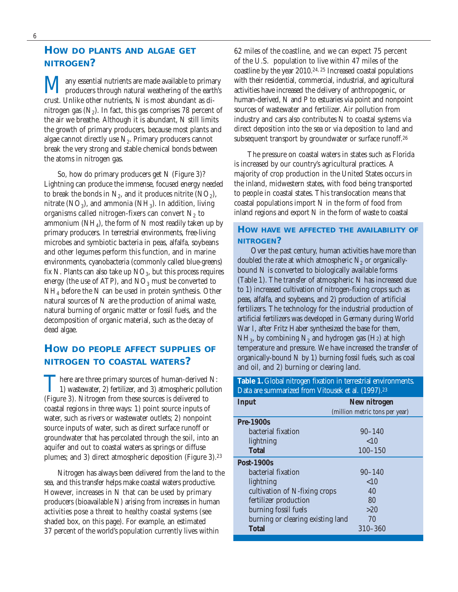# **HOW DO PLANTS AND ALGAE GET NITROGEN?**

**M** any essential nutrients are made available to primary<br>producers through natural weathering of the earth's crust. Unlike other nutrients, N is most abundant as dinitrogen gas  $(N_2)$ . In fact, this gas comprises 78 percent of the air we breathe. Although it is abundant, N still limits the growth of primary producers, because most plants and algae cannot directly use  $N_2$ . Primary producers cannot break the very strong and stable chemical bonds between the atoms in nitrogen gas.

So, how do primary producers get N (Figure 3)? Lightning can produce the immense, focused energy needed to break the bonds in  $N_2$ , and it produces nitrite (NO<sub>2</sub>), nitrate  $(NO_3)$ , and ammonia  $(NH_3)$ . In addition, living organisms called nitrogen-fixers can convert  $N_2$  to ammonium ( $NH<sub>4</sub>$ ), the form of N most readily taken up by primary producers. In terrestrial environments, free-living microbes and symbiotic bacteria in peas, alfalfa, soybeans and other legumes perform this function, and in marine environments, cyanobacteria (commonly called blue-greens) fix N. Plants can also take up  $NO<sub>3</sub>$ , but this process requires energy (the use of ATP), and  $NO<sub>3</sub>$  must be converted to  $NH<sub>4</sub>$  before the N can be used in protein synthesis. Other natural sources of N are the production of animal waste, natural burning of organic matter or fossil fuels, and the decomposition of organic material, such as the decay of dead algae.

# **HOW DO PEOPLE AFFECT SUPPLIES OF NITROGEN TO COASTAL WATERS?**

There are three primary sources of human-derived N:<br>
1) wastewater, 2) fertilizer, and 3) atmospheric pollution (Figure 3). Nitrogen from these sources is delivered to coastal regions in three ways: 1) point source inputs of water, such as rivers or wastewater outlets; 2) nonpoint source inputs of water, such as direct surface runoff or groundwater that has percolated through the soil, into an aquifer and out to coastal waters as springs or diffuse plumes; and 3) direct atmospheric deposition (Figure 3).23

Nitrogen has always been delivered from the land to the sea, and this transfer helps make coastal waters productive. However, increases in N that can be used by primary producers (bioavailable N) arising from increases in human activities pose a threat to healthy coastal systems (see shaded box, on this page). For example, an estimated 37 percent of the world's population currently lives within

62 miles of the coastline, and we can expect 75 percent of the U.S. population to live within 47 miles of the coastline by the year 2010.24, 25 Increased coastal populations with their residential, commercial, industrial, and agricultural activities have increased the delivery of anthropogenic, or human-derived, N and P to estuaries via point and nonpoint sources of wastewater and fertilizer. Air pollution from industry and cars also contributes N to coastal systems via direct deposition into the sea or via deposition to land and subsequent transport by groundwater or surface runoff.<sup>26</sup>

The pressure on coastal waters in states such as Florida is increased by our country's agricultural practices. A majority of crop production in the United States occurs in the inland, midwestern states, with food being transported to people in coastal states. This translocation means that coastal populations import N in the form of food from inland regions and export N in the form of waste to coastal

# **HOW HAVE WE AFFECTED THE AVAILABILITY OF NITROGEN?**

Over the past century, human activities have more than doubled the rate at which atmospheric  $N_2$  or organicallybound N is converted to biologically available forms (Table 1). The transfer of atmospheric N has increased due to 1) increased cultivation of nitrogen-fixing crops such as peas, alfalfa, and soybeans, and 2) production of artificial fertilizers. The technology for the industrial production of artificial fertilizers was developed in Germany during World War I, after Fritz Haber synthesized the base for them,  $NH<sub>3</sub>$ , by combining N<sub>2</sub> and hydrogen gas (H<sub>2</sub>) at high temperature and pressure. We have increased the transfer of organically-bound N by 1) burning fossil fuels, such as coal and oil, and 2) burning or clearing land.

#### **Table 1.** Global nitrogen fixation in terrestrial environments. Data are summarized from Vitousek et al. (1997).23

| <b>Input</b>                      | New nitrogen                   |
|-----------------------------------|--------------------------------|
|                                   | (million metric tons per year) |
| <b>Pre-1900s</b>                  |                                |
| bacterial fixation                | $90 - 140$                     |
| lightning                         | ~10                            |
| <b>Total</b>                      | $100 - 150$                    |
| <b>Post-1900s</b>                 |                                |
| bacterial fixation                | $90 - 140$                     |
| lightning                         | ${<}10$                        |
| cultivation of N-fixing crops     | 40                             |
| fertilizer production             | 80                             |
| burning fossil fuels              | >20                            |
| burning or clearing existing land | 70                             |
| <b>Total</b>                      | 310-360                        |
|                                   |                                |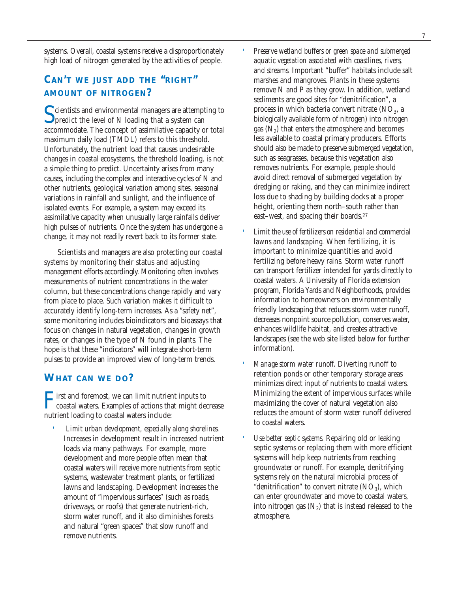systems. Overall, coastal systems receive a disproportionately high load of nitrogen generated by the activities of people.

# **CAN'T WE JUST ADD THE "RIGHT" AMOUNT OF NITROGEN?**

C cientists and environmental managers are attempting to  $\Box$  predict the level of N loading that a system can accommodate. The concept of assimilative capacity or total maximum daily load (TMDL) refers to this threshold. Unfortunately, the nutrient load that causes undesirable changes in coastal ecosystems, the threshold loading, is not a simple thing to predict. Uncertainty arises from many causes, including the complex and interactive cycles of N and other nutrients, geological variation among sites, seasonal variations in rainfall and sunlight, and the influence of isolated events. For example, a system may exceed its assimilative capacity when unusually large rainfalls deliver high pulses of nutrients. Once the system has undergone a change, it may not readily revert back to its former state.

Scientists and managers are also protecting our coastal systems by monitoring their status and adjusting management efforts accordingly. Monitoring often involves measurements of nutrient concentrations in the water column, but these concentrations change rapidly and vary from place to place. Such variation makes it difficult to accurately identify long-term increases. As a "safety net", some monitoring includes bioindicators and bioassays that focus on changes in natural vegetation, changes in growth rates, or changes in the type of N found in plants. The hope is that these "indicators" will integrate short-term pulses to provide an improved view of long-term trends.

# **WHAT CAN WE DO?**

First and foremost, we can limit nutrient inputs to<br>coastal waters. Examples of actions that might decrease nutrient loading to coastal waters include:

 *Limit urban development, especially along shorelines.* Increases in development result in increased nutrient loads via many pathways. For example, more development and more people often mean that coastal waters will receive more nutrients from septic systems, wastewater treatment plants, or fertilized lawns and landscaping. Development increases the amount of "impervious surfaces" (such as roads, driveways, or roofs) that generate nutrient-rich, storm water runoff, and it also diminishes forests and natural "green spaces" that slow runoff and remove nutrients.

- *Preserve wetland buffers or green space and submerged aquatic vegetation associated with coastlines, rivers, and streams.* Important "buffer" habitats include salt marshes and mangroves. Plants in these systems remove N and P as they grow. In addition, wetland sediments are good sites for "denitrification", a process in which bacteria convert nitrate  $(NO<sub>3</sub>, a)$ biologically available form of nitrogen) into nitrogen gas  $(N_2)$  that enters the atmosphere and becomes less available to coastal primary producers. Efforts should also be made to preserve submerged vegetation, such as seagrasses, because this vegetation also removes nutrients. For example, people should avoid direct removal of submerged vegetation by dredging or raking, and they can minimize indirect loss due to shading by building docks at a proper height, orienting them north–south rather than east–west, and spacing their boards.27
- *Limit the use of fertilizers on residential and commercial lawns and landscaping.* When fertilizing, it is important to minimize quantities and avoid fertilizing before heavy rains. Storm water runoff can transport fertilizer intended for yards directly to coastal waters. A University of Florida extension program, Florida Yards and Neighborhoods, provides information to homeowners on environmentally friendly landscaping that reduces storm water runoff, decreases nonpoint source pollution, conserves water, enhances wildlife habitat, and creates attractive landscapes (see the web site listed below for further information).
- *Manage storm water runoff.* Diverting runoff to retention ponds or other temporary storage areas minimizes direct input of nutrients to coastal waters. Minimizing the extent of impervious surfaces while maximizing the cover of natural vegetation also reduces the amount of storm water runoff delivered to coastal waters.
- *Use better septic systems.* Repairing old or leaking septic systems or replacing them with more efficient systems will help keep nutrients from reaching groundwater or runoff. For example, denitrifying systems rely on the natural microbial process of "denitrification" to convert nitrate  $(NO_3)$ , which can enter groundwater and move to coastal waters, into nitrogen gas  $(N_2)$  that is instead released to the atmosphere.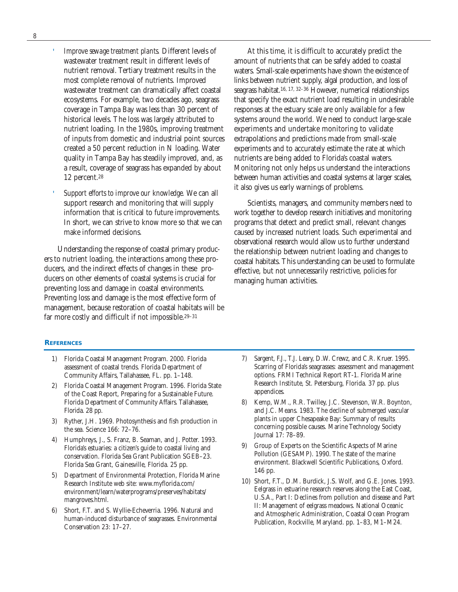'

- *Improve sewage treatment plants.* Different levels of wastewater treatment result in different levels of nutrient removal. Tertiary treatment results in the most complete removal of nutrients. Improved wastewater treatment can dramatically affect coastal ecosystems. For example, two decades ago, seagrass coverage in Tampa Bay was less than 30 percent of historical levels. The loss was largely attributed to nutrient loading. In the 1980s, improving treatment of inputs from domestic and industrial point sources created a 50 percent reduction in N loading. Water quality in Tampa Bay has steadily improved, and, as a result, coverage of seagrass has expanded by about 12 percent.28
- *Support efforts to improve our knowledge.* We can all support research and monitoring that will supply information that is critical to future improvements. In short, we can strive to know more so that we can make informed decisions.

Understanding the response of coastal primary producers to nutrient loading, the interactions among these producers, and the indirect effects of changes in these producers on other elements of coastal systems is crucial for preventing loss and damage in coastal environments. Preventing loss and damage is the most effective form of management, because restoration of coastal habitats will be far more costly and difficult if not impossible.29–31

At this time, it is difficult to accurately predict the amount of nutrients that can be safely added to coastal waters. Small-scale experiments have shown the existence of links between nutrient supply, algal production, and loss of seagrass habitat.16, 17, 32–36 However, numerical relationships that specify the exact nutrient load resulting in undesirable responses at the estuary scale are only available for a few systems around the world. We need to conduct large-scale experiments and undertake monitoring to validate extrapolations and predictions made from small-scale experiments and to accurately estimate the rate at which nutrients are being added to Florida's coastal waters. Monitoring not only helps us understand the interactions between human activities and coastal systems at larger scales, it also gives us early warnings of problems.

Scientists, managers, and community members need to work together to develop research initiatives and monitoring programs that detect and predict small, relevant changes caused by increased nutrient loads. Such experimental and observational research would allow us to further understand the relationship between nutrient loading and changes to coastal habitats. This understanding can be used to formulate effective, but not unnecessarily restrictive, policies for managing human activities.

#### **REFERENCES**

- 1) Florida Coastal Management Program. 2000. Florida assessment of coastal trends. Florida Department of Community Affairs, Tallahassee, FL. pp. 1–148.
- 2) Florida Coastal Management Program. 1996. Florida State of the Coast Report, Preparing for a Sustainable Future. Florida Department of Community Affairs. Tallahassee, Florida. 28 pp.
- 3) Ryther, J.H. 1969. Photosynthesis and fish production in the sea. Science 166: 72–76.
- 4) Humphreys, J., S. Franz, B. Seaman, and J. Potter. 1993. Florida's estuaries: a citizen's guide to coastal living and conservation. Florida Sea Grant Publication SGEB–23. Florida Sea Grant, Gainesville, Florida. 25 pp.
- 5) Department of Environmental Protection, Florida Marine Research Institute web site: www.myflorida.com/ environment/learn/waterprograms/preserves/habitats/ mangroves.html.
- 6) Short, F.T. and S. Wyllie-Echeverria. 1996. Natural and human-induced disturbance of seagrasses. Environmental Conservation 23: 17–27.
- 7) Sargent, F.J., T.J. Leary, D.W. Crewz, and C.R. Kruer. 1995. Scarring of Florida's seagrasses: assessment and management options. FRMI Technical Report RT-1. Florida Marine Research Institute, St. Petersburg, Florida. 37 pp. plus appendices.
- 8) Kemp, W.M., R.R. Twilley, J.C. Stevenson, W.R. Boynton, and J.C. Means. 1983. The decline of submerged vascular plants in upper Chesapeake Bay: Summary of results concerning possible causes. Marine Technology Society Journal 17: 78–89.
- 9) Group of Experts on the Scientific Aspects of Marine Pollution (GESAMP). 1990. The state of the marine environment. Blackwell Scientific Publications, Oxford. 146 pp.
- 10) Short, F.T., D.M. Burdick, J.S. Wolf, and G.E. Jones. 1993. Eelgrass in estuarine research reserves along the East Coast, U.S.A., Part I: Declines from pollution and disease and Part II: Management of eelgrass meadows. National Oceanic and Atmospheric Administration, Coastal Ocean Program Publication, Rockville, Maryland. pp. 1–83, M1–M24.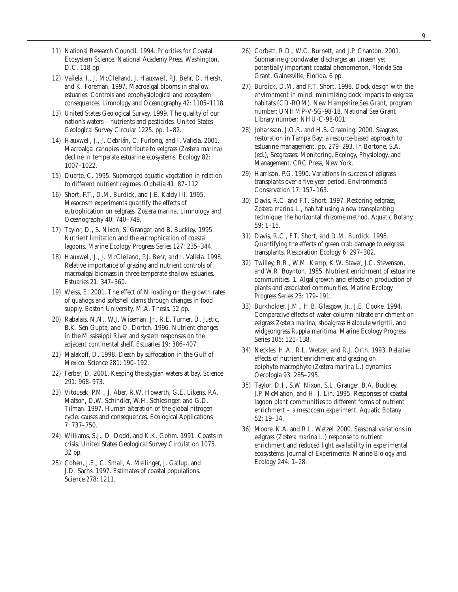- 11) National Research Council. 1994. Priorities for Coastal Ecosystem Science. National Academy Press. Washington, D.C. 118 pp.
- 12) Valiela, I., J. McClelland, J. Hauxwell, P.J. Behr, D. Hersh, and K. Foreman. 1997. Macroalgal blooms in shallow estuaries: Controls and ecophysiological and ecosystem consequences. Limnology and Oceanography 42: 1105–1118.
- 13) United States Geological Survey. 1999. The quality of our nation's waters – nutrients and pesticides. United States Geological Survey Circular 1225. pp. 1–82.
- 14) Hauxwell, J., J. Cebrián, C. Furlong, and I. Valiela. 2001. Macroalgal canopies contribute to eelgrass (*Zostera marina*) decline in temperate estuarine ecosystems. Ecology 82: 1007–1022.
- 15) Duarte, C. 1995. Submerged aquatic vegetation in relation to different nutrient regimes. Ophelia 41: 87–112.
- 16) Short, F.T., D.M. Burdick, and J.E. Kaldy III. 1995. Mesocosm experiments quantify the effects of eutrophication on eelgrass, *Zostera marina*. Limnology and Oceanography 40: 740–749.
- 17) Taylor, D., S. Nixon, S. Granger, and B. Buckley. 1995. Nutrient limitation and the eutrophication of coastal lagoons. Marine Ecology Progress Series 127: 235–344.
- 18) Hauxwell, J., J. McClelland, P.J. Behr, and I. Valiela. 1998. Relative importance of grazing and nutrient controls of macroalgal biomass in three temperate shallow estuaries. Estuaries 21: 347–360.
- 19) Weiss, E. 2001. The effect of N loading on the growth rates of quahogs and softshell clams through changes in food supply. Boston University, M.A. Thesis. 52 pp.
- 20) Rabalais, N.N., W.J. Wiseman, Jr., R.E. Turner, D. Justic, B.K. Sen Gupta, and O. Dortch. 1996. Nutrient changes in the Mississippi River and system responses on the adjacent continental shelf. Estuaries 19: 386–407.
- 21) Malakoff, D. 1998. Death by suffocation in the Gulf of Mexico. Science 281: 190–192.
- 22) Ferber, D. 2001. Keeping the stygian waters at bay. Science 291: 968–973.
- 23) Vitousek, P.M., J. Aber, R.W. Howarth, G.E. Likens, P.A. Matson, D.W. Schindler, W.H. Schlesinger, and G.D. Tilman. 1997. Human alteration of the global nitrogen cycle: causes and consequences. Ecological Applications 7: 737–750.
- 24) Williams, S.J., D. Dodd, and K.K. Gohm. 1991. Coasts in crisis. United States Geological Survey Circulation 1075. 32 pp.
- 25) Cohen, J.E., C. Small, A. Mellinger, J. Gallup, and J.D. Sachs. 1997. Estimates of coastal populations. Science 278: 1211.
- 26) Corbett, R.D., W.C. Burnett, and J.P. Chanton. 2001. Submarine groundwater discharge: an unseen yet potentially important coastal phenomenon. Florida Sea Grant, Gainesville, Florida. 6 pp.
- 27) Burdick, D.M. and F.T. Short. 1998. Dock design with the environment in mind: minimizing dock impacts to eelgrass habitats (CD-ROM). New Hampshire Sea Grant, program number: UNHMP-V-SG-98-18. National Sea Grant Library number: NHU-C-98-001.
- 28) Johansson, J.O.R. and H.S. Greening. 2000. Seagrass restoration in Tampa Bay: a resource-based approach to estuarine management. pp. 279–293. In Bortone, S.A. (ed.), Seagrasses: Monitoring, Ecology, Physiology, and Management. CRC Press, New York.
- 29) Harrison, P.G. 1990. Variations in success of eelgrass transplants over a five-year period. Environmental Conservation 17: 157–163.
- 30) Davis, R.C. and F.T. Short. 1997. Restoring eelgrass, *Zostera marina* L., habitat using a new transplanting technique: the horizontal rhizome method. Aquatic Botany 59: 1–15.
- 31) Davis, R.C., F.T. Short, and D.M. Burdick. 1998. Quantifying the effects of green crab damage to eelgrass transplants. Restoration Ecology 6: 297–302.
- 32) Twilley, R.R., W.M. Kemp, K.W. Staver, J.C. Stevenson, and W.R. Boynton. 1985. Nutrient enrichment of estuarine communities. 1. Algal growth and effects on production of plants and associated communities. Marine Ecology Progress Series 23: 179–191.
- 33) Burkholder, J.M., H.B. Glasgow, Jr., J.E. Cooke. 1994. Comparative effects of water-column nitrate enrichment on eelgrass *Zostera marina*, shoalgrass *Halodule wrightii*, and widgeongrass *Ruppia maritima*. Marine Ecology Progress Series 105: 121–138.
- 34) Neckles, H.A., R.L. Wetzel, and R.J. Orth. 1993. Relative effects of nutrient enrichment and grazing on epiphyte-macrophyte (*Zostera marina* L.) dynamics Oecologia 93: 285–295.
- 35) Taylor, D.I., S.W. Nixon, S.L. Granger, B.A. Buckley, J.P. McMahon, and H. J. Lin. 1995. Responses of coastal lagoon plant communities to different forms of nutrient enrichment – a mesocosm experiment. Aquatic Botany 52: 19–34.
- 36) Moore, K.A. and R.L. Wetzel. 2000. Seasonal variations in eelgrass (*Zostera marina* L.) response to nutrient enrichment and reduced light availability in experimental ecosystems. Journal of Experimental Marine Biology and Ecology 244: 1–28.